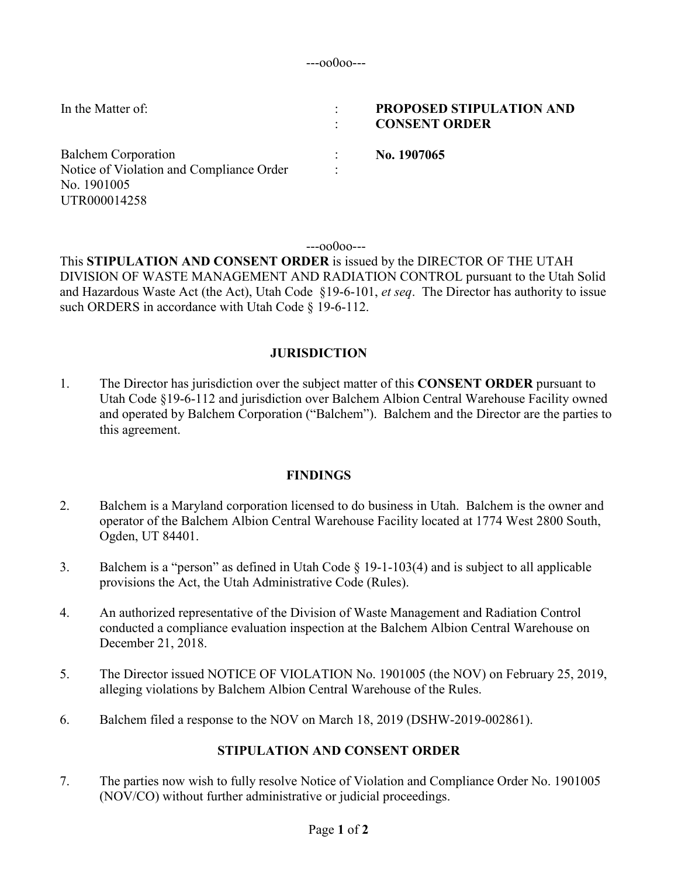:

: :

In the Matter of:  $\cdot$  :

#### **PROPOSED STIPULATION AND CONSENT ORDER**

Balchem Corporation Notice of Violation and Compliance Order No. 1901005 UTR000014258

**No. 1907065**

 $--00000--$ 

This **STIPULATION AND CONSENT ORDER** is issued by the DIRECTOR OF THE UTAH DIVISION OF WASTE MANAGEMENT AND RADIATION CONTROL pursuant to the Utah Solid and Hazardous Waste Act (the Act), Utah Code §19-6-101, *et seq*. The Director has authority to issue such ORDERS in accordance with Utah Code § 19-6-112.

# **JURISDICTION**

1. The Director has jurisdiction over the subject matter of this **CONSENT ORDER** pursuant to Utah Code §19-6-112 and jurisdiction over Balchem Albion Central Warehouse Facility owned and operated by Balchem Corporation ("Balchem"). Balchem and the Director are the parties to this agreement.

#### **FINDINGS**

- 2. Balchem is a Maryland corporation licensed to do business in Utah. Balchem is the owner and operator of the Balchem Albion Central Warehouse Facility located at 1774 West 2800 South, Ogden, UT 84401.
- 3. Balchem is a "person" as defined in Utah Code § 19-1-103(4) and is subject to all applicable provisions the Act, the Utah Administrative Code (Rules).
- 4. An authorized representative of the Division of Waste Management and Radiation Control conducted a compliance evaluation inspection at the Balchem Albion Central Warehouse on December 21, 2018.
- 5. The Director issued NOTICE OF VIOLATION No. 1901005 (the NOV) on February 25, 2019, alleging violations by Balchem Albion Central Warehouse of the Rules.
- 6. Balchem filed a response to the NOV on March 18, 2019 (DSHW-2019-002861).

# **STIPULATION AND CONSENT ORDER**

7. The parties now wish to fully resolve Notice of Violation and Compliance Order No. 1901005 (NOV/CO) without further administrative or judicial proceedings.